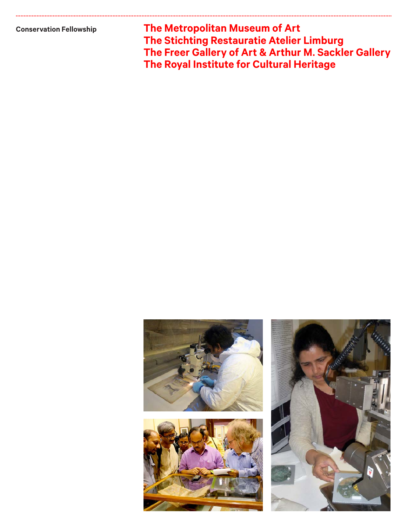**Conservation Fellowship**

**The Metropolitan Museum of Art The Stichting Restauratie Atelier Limburg The Freer Gallery of Art & Arthur M. Sackler Gallery The Royal Institute for Cultural Heritage**

CCCCCCCCCCCCCCCCCCCCCCCCCCCCCCCCCCCCCCCCCCCCCCCCCCCCCCCCCCCCCCCCCCCCCCCCCCCCCCCCCCCCCCCCCCCCCCCCCCCCCCCCCCCCCCCCCCCCCCCCCCCCCCC CCCCCCCCCCCCCCCCCCCCCCCCCCCCCCCCCCCCCCCCCCCCCCCCCCCCCCCCCCCCCCCCCCCCCCCCCCCCCCCCCCCCCCCCCCCCCCCCCCCCCCCCCC

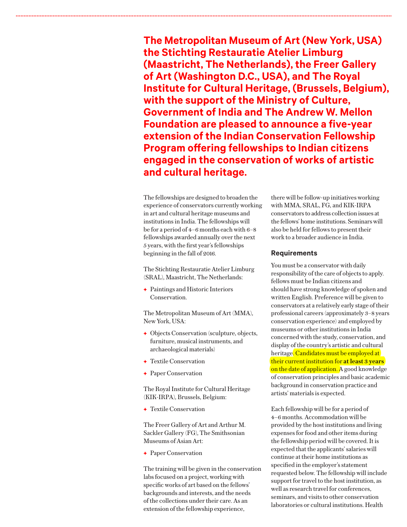**The Metropolitan Museum of Art (New York, USA) the Stichting Restauratie Atelier Limburg (Maastricht, The Netherlands), the Freer Gallery of Art (Washington D.C., USA), and The Royal Institute for Cultural Heritage, (Brussels, Belgium), with the support of the Ministry of Culture, Government of India and The Andrew W. Mellon Foundation are pleased to announce a five-year extension of the Indian Conservation Fellowship Program offering fellowships to Indian citizens engaged in the conservation of works of artistic and cultural heritage.**

The fellowships are designed to broaden the experience of conservators currently working in art and cultural heritage museums and institutions in India. The fellowships will be for a period of 4–6 months each with 6–8 fellowships awarded annually over the next 5 years, with the first year's fellowships beginning in the fall of 2016.

CCCCCCCCCCCCCCCCCCCCCCCCCCCCCCCCCCCCCCCCCCCCCCCCCCCCCCCCCCCCCCCCCCCCCCCCCCCCCCCCCCCCCCCCCCCCCCCCCCCCCCCCCCCCCCCCCCCCCCCCCCCCCCC CCCCCCCCCCCCCCCCCCCCCCCCCCCCCCCCCCCCCCCCCCCCCCCCCCCCCCCCCCCCCCCCCCCCCCCCCCCCCCCCCCCCCCCCCCCCCCCCCCCCCCCCCC

The Stichting Restauratie Atelier Limburg (SRAL), Maastricht, The Netherlands:

 $\rightarrow$  Paintings and Historic Interiors Conservation.

The Metropolitan Museum of Art (MMA), New York, USA:

- A Objects Conservation (sculpture, objects, furniture, musical instruments, and archaeological materials)
- A Textile Conservation
- **← Paper Conservation**

The Royal Institute for Cultural Heritage (KIK-IRPA), Brussels, Belgium:

**← Textile Conservation** 

The Freer Gallery of Art and Arthur M. Sackler Gallery (FG), The Smithsonian Museums of Asian Art:

**← Paper Conservation** 

The training will be given in the conservation labs focused on a project, working with specific works of art based on the fellows' backgrounds and interests, and the needs of the collections under their care. As an extension of the fellowship experience,

there will be follow-up initiatives working with MMA, SRAL, FG, and KIK-IRPA conservators to address collection issues at the fellows' home institutions. Seminars will also be held for fellows to present their work to a broader audience in India.

## **Requirements**

You must be a conservator with daily responsibility of the care of objects to apply. fellows must be Indian citizens and should have strong knowledge of spoken and written English. Preference will be given to conservators at a relatively early stage of their professional careers (approximately 3–8 years conservation experience) and employed by museums or other institutions in India concerned with the study, conservation, and display of the country's artistic and cultural heritage. Candidates must be employed at their current institution for **at least 3 years** on the date of application. A good knowledge of conservation principles and basic academic background in conservation practice and artists' materials is expected.

Each fellowship will be for a period of 4–6 months. Accommodation will be provided by the host institutions and living expenses for food and other items during the fellowship period will be covered. It is expected that the applicants' salaries will continue at their home institutions as specified in the employer's statement requested below. The fellowship will include support for travel to the host institution, as well as research travel for conferences, seminars, and visits to other conservation laboratories or cultural institutions. Health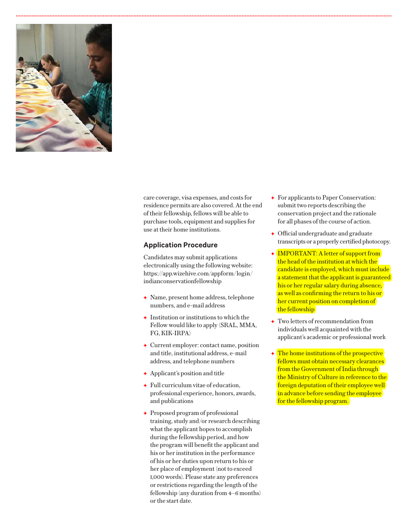

care coverage, visa expenses, and costs for residence permits are also covered. At the end of their fellowship, fellows will be able to purchase tools, equipment and supplies for use at their home institutions.

## **Application Procedure**

Candidates may submit applications electronically using the following website: https://app.wizehive.com/appform/login/ indianconservationfellowship

- $\rightarrow$  Name, present home address, telephone numbers, and e-mail address
- $\rightarrow$  Institution or institutions to which the Fellow would like to apply (SRAL, MMA, FG, KIK-IRPA)
- $\leftarrow$  Current employer: contact name, position and title, institutional address, e-mail address, and telephone numbers
- $\leftrightarrow$  Applicant's position and title
- A Full curriculum vitae of education, professional experience, honors, awards, and publications
- A Proposed program of professional training, study and/or research describing what the applicant hopes to accomplish during the fellowship period, and how the program will benefit the applicant and his or her institution in the performance of his or her duties upon return to his or her place of employment (not to exceed 1,000 words). Please state any preferences or restrictions regarding the length of the fellowship (any duration from 4–6 months) or the start date.
- A For applicants to Paper Conservation: submit two reports describing the conservation project and the rationale for all phases of the course of action.
- $\rightarrow$  Official undergraduate and graduate transcripts or a properly certified photocopy.
- ← IMPORTANT: A letter of support from the head of the institution at which the candidate is employed, which must include a statement that the applicant is guaranteed his or her regular salary during absence, as well as confirming the return to his or her current position on completion of the fellowship
- A Two letters of recommendation from individuals well acquainted with the applicant's academic or professional work
- $\triangle$  The home institutions of the prospective fellows must obtain necessary clearances from the Government of India through the Ministry of Culture in reference to the foreign deputation of their employee well in advance before sending the employee for the fellowship program.